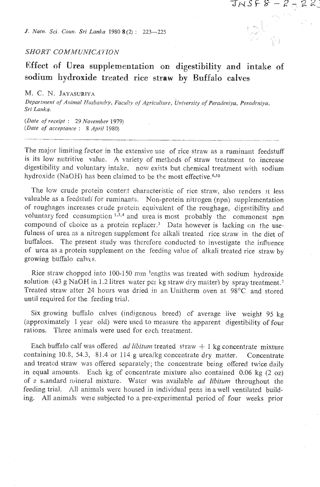**6.** *Natn. Sci. Coun. Sri Lanka* 1980 **8** (2) : 223-225

## **SHORT COMMUNICATION**

## **Effect of Urea supplementation on digestibility and intake of**  sodium **hydroxide treated** rice **straw by Buffalo calves**

 $JNSF8 - R_{\odot}$ 

 $22$ 

M. *C.* N. JAYASURIYA

Department of Animal Husbandry, Faculty of Agriculture, University of Peradeniya, Peradeniya, *Sri Lanka.* 

*(Dale of receipt* : 29 *November* 1979) *(Date of acceptance* : *8 April 1980)* 

The major limiting factor in the extensive use of rice straw as a ruminant feedstuff is its low nutritive valuc. A variety of methods of straw treatment to increase digestibility and voluntary intake, now exists but chemical treatment with sodium hydroxide (NaOH) has been claimed to be the most effective.<sup>6,10</sup>

The low crude protein contert characteristic of rice straw, also renders **~t** less valuable as a feedstuff for ruminants. Non-protein nitrogen (npn) supplementation of roughages increases crude protein equivalent of the roughage, digestibility and voluntary feed consumption  $1,3,4$  and urea is most probably the commonest npn compound of choice as a protein replacer.<sup>3</sup> Data however is lacking on the usefulness of urea as a nitrogen supplement for alkali treated rice straw in the diet of buffaloes. The present study was therefore conducted to investigate the influence of urea as a protein supplement on the feeding value of alkali treated rice straw by growing buffalo calves.

Rice straw chopped into 100-150 mm 'engths was treated with sodium hydroxide solution, (43 g NaOH in 1.2 litres water per kg straw dry matter) by spray treatment.<sup>7</sup> Treated straw after 24 hours was dried in an Unitherm oven at  $98^{\circ}$ C and stored until required for the feeding trial.

Six growing buffalo calves (indigenous breed) of average live weight 95 kg (approximately 1 year old) were used to measure the apparent digestibility of four rations. Three animals were used for each treatment.

Each buffalo calf was offered *ad libitum* treated  $straw + 1$  kg concentrate mixture containing 10.8, 54.3, 81.4 or 114 g urealkg concentrate dry matter. Concentrate and treatcd straw was ofiered separately; the concentrate being offered twice daily in equal amounts. Each kg of concentrate mixture also contained 0.06 kg (2 oz) of a standard mineral mixture. Water was available *ad libitum* throughout the feeding trial. All animals were housed in individual pens ina well ventilated building. All animals wene subjected to a pre-experimental period of four weeks prior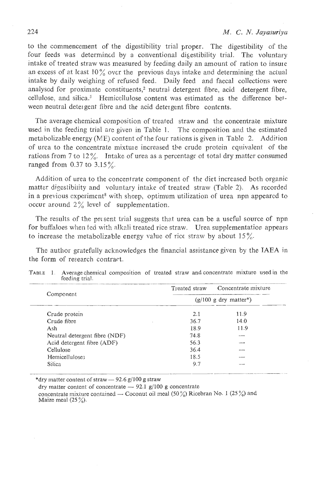to the commencement of the digestibility trial proper. The digestibility of the four feeds was determined by a conventional digestibility trial. The voluntary intake of treated straw was measured by feeding daily an amount of ration to insure an excess of at least  $10\%$  over the previous days intake and determining the actual intake by daily weighing of refused feed. Daily feed and faecal collections were analyscd for proximate constituents,2 neutral detergent fibre, acid detergent fibre, cellulose. and silica.' Hemicejlulose content was estimated as the difference between neutral deteigent fibre and the acid detergent fibre contents.

The average chemical composition of treated straw and the concentrate mixture used in the feeding trial are given in Table 1. The composition and the estimated metabolizable energy (ME) content of the four rations is given in Table 2. Addition of urea to the coccentrate mixtule increased the crude protein equivalent of the rations from 7 to 12%. Intake of urea as a percentage of total dry matter consumed ranged from 0.37 to  $3.15\%$ .

Addition of urea to the concentrate component of the diet increased both organic matter digestibility and voluntary intake of treated straw (Table 2). As recorded in a previous experiment<sup>8</sup> with sheep, optimum utilization of urea npn appeared to occur around  $2\%$  level of supplementation.

The results of the present trial suggests that urea can be a useful source of npn for buffaloes when fed with alkali treated rice straw. Urea supplementation appears to increase the metabolizable energy value of rice straw by about  $15\%$ .

The author gratefully acknowledges the financial assistance given by the TAEA in the form of research contract.

|                               | Treated straw | Concentrate mixture                  |  |  |  |
|-------------------------------|---------------|--------------------------------------|--|--|--|
| Component                     |               | $(g/100 g$ dry matter <sup>*</sup> ) |  |  |  |
| Crude protein                 | 2.1           | 11.9                                 |  |  |  |
| Crude fibre                   | 36.7          | 14.0                                 |  |  |  |
| Ash                           | 18.9          | 11.9                                 |  |  |  |
| Neutral detergent fibre (NDF) | 74.8          |                                      |  |  |  |
| Acid detergent fibre (ADF)    | 56.3          |                                      |  |  |  |
| Cellulose                     | 36.4          |                                      |  |  |  |
| Hemicelluloses                | 18.5          |                                      |  |  |  |
| <b>Silica</b>                 | 9.7           |                                      |  |  |  |

|  | TABLE 1. Average chemical composition of treated straw and concentrate mixture used in the |  |  |  |  |
|--|--------------------------------------------------------------------------------------------|--|--|--|--|
|  | feeding trial.                                                                             |  |  |  |  |

dry matter content of concentrate  $-$  92.1 g/100 g concentrate concentrate mixture contzined - Coconut oil meal (50 %) Ricebran No. **1** *(25* %) and Maize meal  $(25\%)$ .